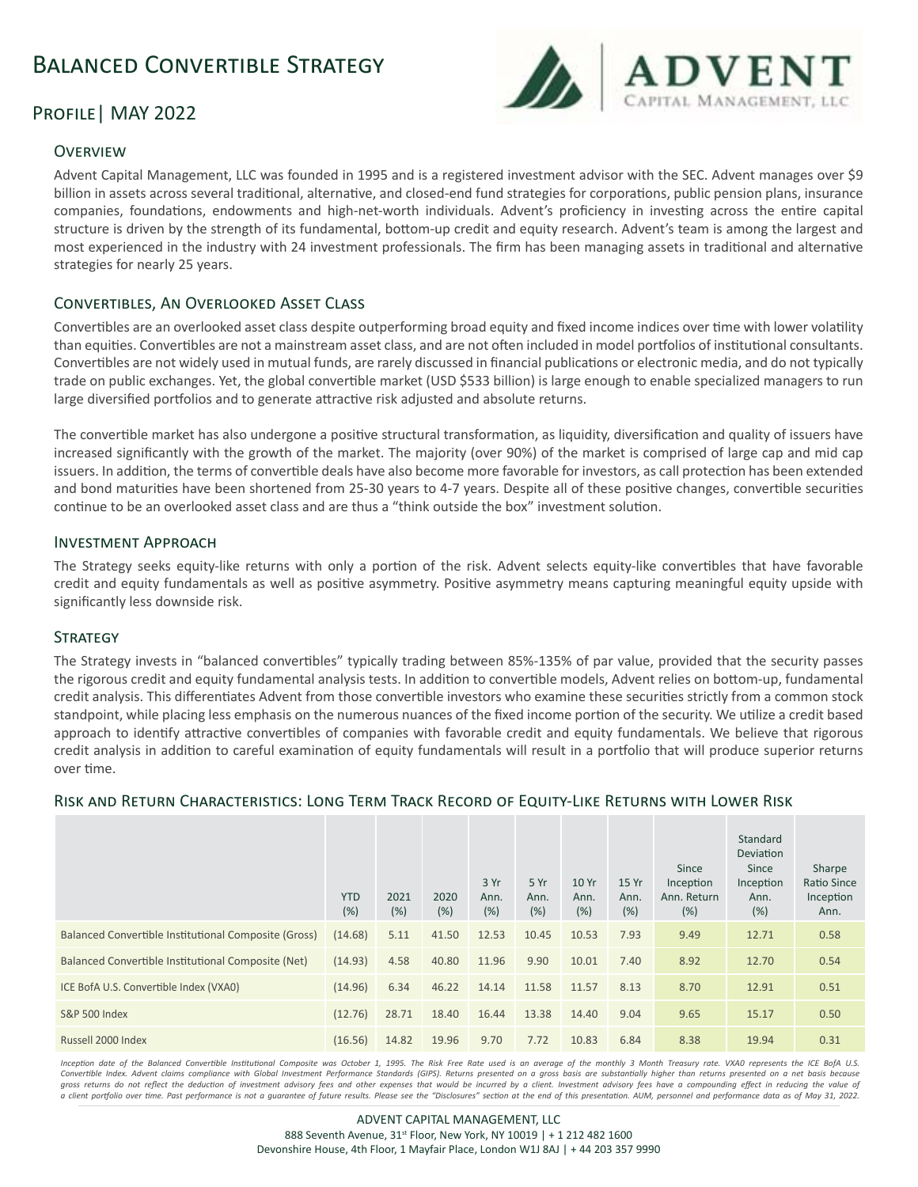# Balanced Convertible Strategy



# PROFILE | MAY 2022

## **OVERVIEW**

Advent Capital Management, LLC was founded in 1995 and is a registered investment advisor with the SEC. Advent manages over \$9 billion in assets across several traditional, alternative, and closed-end fund strategies for corporations, public pension plans, insurance companies, foundations, endowments and high-net-worth individuals. Advent's proficiency in investing across the entire capital structure is driven by the strength of its fundamental, bottom-up credit and equity research. Advent's team is among the largest and most experienced in the industry with 24 investment professionals. The firm has been managing assets in traditional and alternative strategies for nearly 25 years.

## Convertibles, An Overlooked Asset Class

Convertibles are an overlooked asset class despite outperforming broad equity and fixed income indices over time with lower volatility than equities. Convertibles are not a mainstream asset class, and are not often included in model portfolios of institutional consultants. Convertibles are not widely used in mutual funds, are rarely discussed in financial publications or electronic media, and do not typically trade on public exchanges. Yet, the global convertible market (USD \$533 billion) is large enough to enable specialized managers to run large diversified portfolios and to generate attractive risk adjusted and absolute returns.

The convertible market has also undergone a positive structural transformation, as liquidity, diversification and quality of issuers have increased significantly with the growth of the market. The majority (over 90%) of the market is comprised of large cap and mid cap issuers. In addition, the terms of convertible deals have also become more favorable for investors, as call protection has been extended and bond maturities have been shortened from 25-30 years to 4-7 years. Despite all of these positive changes, convertible securities continue to be an overlooked asset class and are thus a "think outside the box" investment solution.

## Investment Approach

The Strategy seeks equity-like returns with only a portion of the risk. Advent selects equity-like convertibles that have favorable credit and equity fundamentals as well as positive asymmetry. Positive asymmetry means capturing meaningful equity upside with significantly less downside risk.

## **STRATEGY**

The Strategy invests in "balanced convertibles" typically trading between 85%-135% of par value, provided that the security passes the rigorous credit and equity fundamental analysis tests. In addition to convertible models, Advent relies on bottom-up, fundamental credit analysis. This differentiates Advent from those convertible investors who examine these securities strictly from a common stock standpoint, while placing less emphasis on the numerous nuances of the fixed income portion of the security. We utilize a credit based approach to identify attractive convertibles of companies with favorable credit and equity fundamentals. We believe that rigorous credit analysis in addition to careful examination of equity fundamentals will result in a portfolio that will produce superior returns over time.

## Risk and Return Characteristics: Long Term Track Record of Equity-Like Returns with Lower Risk

|                                                      | <b>YTD</b><br>(%) | 2021<br>(%) | 2020<br>(%) | 3 Yr<br>Ann.<br>(%) | 5 Yr<br>Ann.<br>(%) | 10 Yr<br>Ann.<br>(%) | 15 Yr<br>Ann.<br>(% ) | Since<br>Inception<br>Ann. Return<br>(%) | Standard<br>Deviation<br>Since<br>Inception<br>Ann.<br>(%) | Sharpe<br>Ratio Since<br>Inception<br>Ann. |
|------------------------------------------------------|-------------------|-------------|-------------|---------------------|---------------------|----------------------|-----------------------|------------------------------------------|------------------------------------------------------------|--------------------------------------------|
| Balanced Convertible Institutional Composite (Gross) | (14.68)           | 5.11        | 41.50       | 12.53               | 10.45               | 10.53                | 7.93                  | 9.49                                     | 12.71                                                      | 0.58                                       |
| Balanced Convertible Institutional Composite (Net)   | (14.93)           | 4.58        | 40.80       | 11.96               | 9.90                | 10.01                | 7.40                  | 8.92                                     | 12.70                                                      | 0.54                                       |
| ICE BofA U.S. Convertible Index (VXA0)               | (14.96)           | 6.34        | 46.22       | 14.14               | 11.58               | 11.57                | 8.13                  | 8.70                                     | 12.91                                                      | 0.51                                       |
| <b>S&amp;P 500 Index</b>                             | (12.76)           | 28.71       | 18.40       | 16.44               | 13.38               | 14.40                | 9.04                  | 9.65                                     | 15.17                                                      | 0.50                                       |
| Russell 2000 Index                                   | (16.56)           | 14.82       | 19.96       | 9.70                | 7.72                | 10.83                | 6.84                  | 8.38                                     | 19.94                                                      | 0.31                                       |

Inception date of the Balanced Convertible Institutional Composite was October 1, 1995. The Risk Free Rate used is an average of the monthly 3 Month Treasury rate. VXA0 represents the ICE BofA U.S. Convertible Index. Advent claims compliance with Global Investment Performance Standards (GIPS). Returns presented on a gross basis are substantially higher than returns presented on a net basis because gross returns do not reflect the deduction of investment advisory fees and other expenses that would be incurred by a client. Investment advisory fees have a compounding effect in reducing the value of *a client portfolio over time. Past performance is not a guarantee of future results. Please see the "Disclosures" section at the end of this presentation. AUM, personnel and performance data as of May 31, 2022.*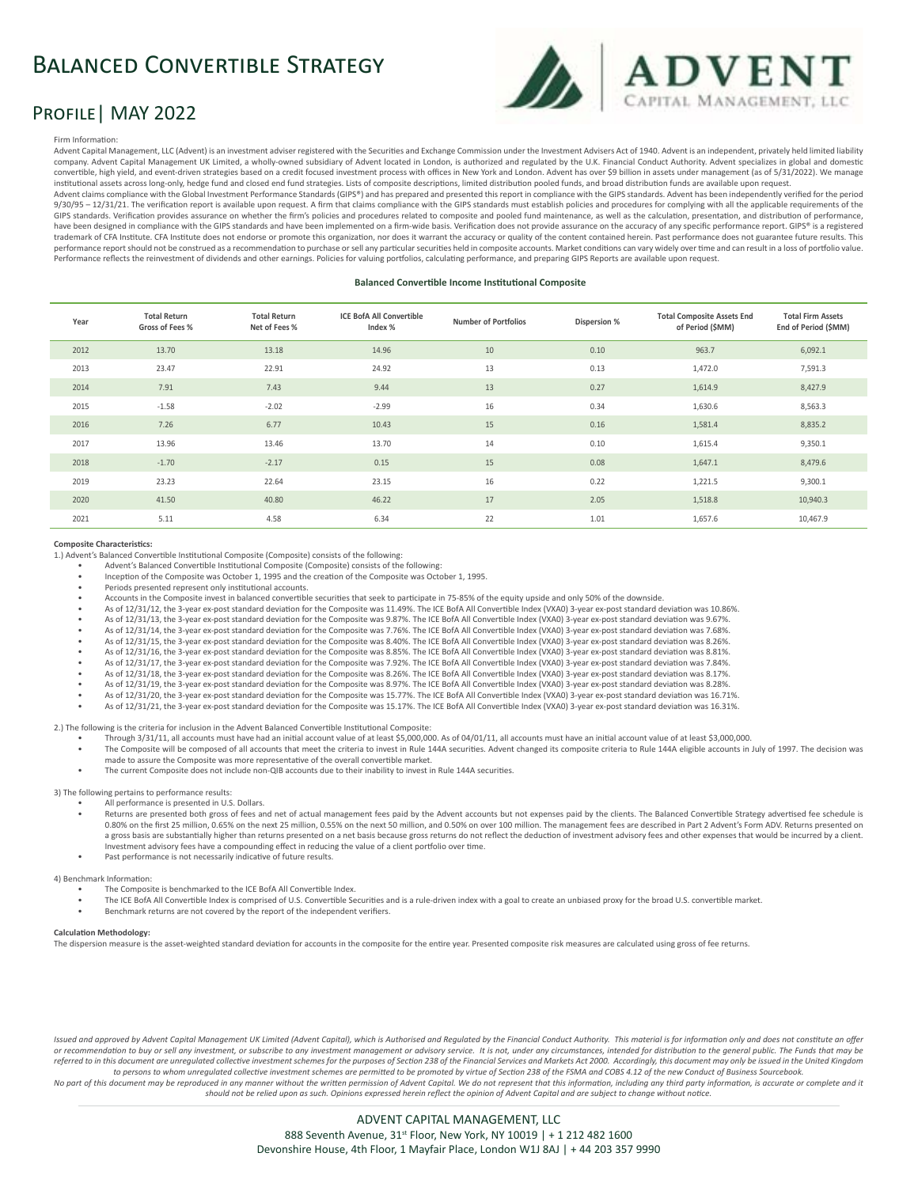# Balanced Convertible Strategy



# PROFILE | MAY 2022

#### Firm Information:

Advent Capital Management, LLC (Advent) is an investment adviser registered with the Securities and Exchange Commission under the Investment Advisers Act of 1940. Advent is an independent, privately held limited liability company. Advent Capital Management UK Limited, a wholly-owned subsidiary of Advent located in London, is authorized and regulated by the U.K. Financial Conduct Authority. Advent specializes in global and domestic convertible, high yield, and event-driven strategies based on a credit focused investment process with offices in New York and London. Advent has over \$9 billion in assets under management (as of 5/31/2022). We manage institutional assets across long-only, hedge fund and closed end fund strategies. Lists of composite descriptions, limited distribution pooled funds, and broad distribution funds are available upon request. Advent claims compliance with the Global Investment Performance Standards (GIPS®) and has prepared and presented this report in compliance with the GIPS standards. Advent has been independently verified for the period 9/30/95 – 12/31/21. The verification report is available upon request. A firm that claims compliance with the GIPS standards must establish policies and procedures for complying with all the applicable requirements of the GIPS standards. Verification provides assurance on whether the firm's policies and procedures related to composite and pooled fund maintenance, as well as the calculation, presentation, and distribution of performance,<br>hav trademark of CFA Institute. CFA Institute does not endorse or promote this organization, nor does it warrant the accuracy or quality of the content contained herein. Past performance does not guarantee future results. This performance report should not be construed as a recommendation to purchase or sell any particular securities held in composite accounts. Market conditions can vary widely over time and can result in a loss of portfolio val

#### **Balanced Convertible Income Institutional Composite**

| Year | <b>Total Return</b><br>Gross of Fees % | <b>Total Return</b><br>Net of Fees % | <b>ICE BofA All Convertible</b><br>Index % | <b>Number of Portfolios</b> | Dispersion % | <b>Total Composite Assets End</b><br>of Period (\$MM) | <b>Total Firm Assets</b><br>End of Period (\$MM) |
|------|----------------------------------------|--------------------------------------|--------------------------------------------|-----------------------------|--------------|-------------------------------------------------------|--------------------------------------------------|
| 2012 | 13.70                                  | 13.18                                | 14.96                                      | $10\,$                      | 0.10         | 963.7                                                 | 6,092.1                                          |
| 2013 | 23.47                                  | 22.91                                | 24.92                                      | 13                          | 0.13         | 1,472.0                                               | 7,591.3                                          |
| 2014 | 7.91                                   | 7.43                                 | 9.44                                       | 13                          | 0.27         | 1,614.9                                               | 8,427.9                                          |
| 2015 | $-1.58$                                | $-2.02$                              | $-2.99$                                    | 16                          | 0.34         | 1,630.6                                               | 8,563.3                                          |
| 2016 | 7.26                                   | 6.77                                 | 10.43                                      | 15                          | 0.16         | 1,581.4                                               | 8,835.2                                          |
| 2017 | 13.96                                  | 13.46                                | 13.70                                      | 14                          | 0.10         | 1,615.4                                               | 9,350.1                                          |
| 2018 | $-1.70$                                | $-2.17$                              | 0.15                                       | 15                          | 0.08         | 1,647.1                                               | 8,479.6                                          |
| 2019 | 23.23                                  | 22.64                                | 23.15                                      | 16                          | 0.22         | 1,221.5                                               | 9,300.1                                          |
| 2020 | 41.50                                  | 40.80                                | 46.22                                      | 17                          | 2.05         | 1,518.8                                               | 10,940.3                                         |
| 2021 | 5.11                                   | 4.58                                 | 6.34                                       | 22                          | 1.01         | 1,657.6                                               | 10,467.9                                         |

#### **Composite Characteristics:**

1.) Advent's Balanced Convertible Institutional Composite (Composite) consists of the following:

- Advent's Balanced Convertible Institutional Composite (Composite) consists of the following:
- Inception of the Composite was October 1, 1995 and the creation of the Composite was October 1, 1995.
- Periods presented represent only institutional accounts.
- Accounts in the Composite invest in balanced convertible securities that seek to participate in 75-85% of the equity upside and only 50% of the downside.

Performance reflects the reinvestment of dividends and other earnings. Policies for valuing portfolios, calculating performance, and preparing GIPS Reports are available upon request.

- As of 12/31/12, the 3-year ex-post standard deviation for the Composite was 11.49%. The ICE BofA All Convertible Index (VXA0) 3-year ex-post standard deviation was 10.86%.
- As of 12/31/13, the 3-year ex-post standard deviation for the Composite was 9.87%. The ICE BofA All Convertible Index (VXA0) 3-year ex-post standard deviation was 9.67%. As of 12/31/14, the 3-year ex-post standard deviation for the Composite was 7.76%. The ICE BofA All Convertible Index (VXA0) 3-year ex-post standard deviation was 7.68%.
- As of 12/31/15, the 3-year ex-post standard deviation for the Composite was 8.40%. The ICE BofA All Convertible Index (VXA0) 3-year ex-post standard deviation was 8.26%.
- As of 12/31/16, the 3-year ex-post standard deviation for the Composite was 8.85%. The ICE BofA All Convertible Index (VXA0) 3-year ex-post standard deviation was 8.81%.
- As of 12/31/17, the 3-year ex-post standard deviation for the Composite was 7.92%. The ICE BofA All Convertible Index (VXA0) 3-year ex-post standard deviation was 7.84%.
- As of 12/31/18, the 3-year ex-post standard deviation for the Composite was 8.26%. The ICE BofA All Convertible Index (VXA0) 3-year ex-post standard deviation was 8.17%.
- As of 12/31/19, the 3-year ex-post standard deviation for the Composite was 8.97%. The ICE BofA All Convertible Index (VXA0) 3-year ex-post standard deviation was 8.28%.
- As of 12/31/20, the 3-year ex-post standard deviation for the Composite was 15.77%. The ICE BofA All Convertible Index (VXA0) 3-year ex-post standard deviation was 16.71%. • As of 12/31/21, the 3-year ex-post standard deviation for the Composite was 15.17%. The ICE BofA All Convertible Index (VXA0) 3-year ex-post standard deviation was 16.31%.

2.) The following is the criteria for inclusion in the Advent Balanced Convertible Institutional Composite:

- Through 3/31/11, all accounts must have had an initial account value of at least \$5,000,000. As of 04/01/11, all accounts must have an initial account value of at least \$3,000,000.
- The Composite will be composed of all accounts that meet the criteria to invest in Rule 144A securities. Advent changed its composite criteria to Rule 144A eligible accounts in July of 1997. The decision was made to assure the Composite was more representative of the overall convertible market.
- The current Composite does not include non-QIB accounts due to their inability to invest in Rule 144A securities.

3) The following pertains to performance results: • All performance is presented in U.S. Dollars.

- Returns are presented both gross of fees and net of actual management fees paid by the Advent accounts but not expenses paid by the clients. The Balanced Convertible Strategy advertised fee schedule is 0.80% on the first 25 million, 0.65% on the next 25 million, 0.55% on the next 50 million, and 0.50% on over 100 million. The management fees are described in Part 2 Advent's Form ADV. Returns presented on a gross basis are substantially higher than returns presented on a net basis because gross returns do not reflect the deduction of investment advisory fees and other expenses that would be incurred by a client. Investment advisory fees have a compounding effect in reducing the value of a client portfolio over time.
- Past performance is not necessarily indicative of future results.

### 4) Benchmark Information:

- The Composite is benchmarked to the ICE BofA All Convertible Index.
- 
- The ICE BofA All Convertible Index is comprised of U.S. Convertible Securities and is a rule-driven index with a goal to create an unbiased proxy for the broad U.S. convertible market. • Benchmark returns are not covered by the report of the independent verifiers.

### **Calculation Methodology:**

The dispersion measure is the asset-weighted standard deviation for accounts in the composite for the entire year. Presented composite risk measures are calculated using gross of fee returns.

Issued and approved by Advent Capital Management UK Limited (Advent Capital), which is Authorised and Regulated by the Financial Conduct Authority. This material is for information only and does not constitute an offer or recommendation to buy or sell any investment, or subscribe to any investment management or advisory service. It is not, under any circumstances, intended for distribution to the general public. The Funds that may be referred to in this document are unregulated collective investment schemes for the purposes of Section 238 of the Financial Services and Markets Act 2000. Accordingly, this document may only be issued in the United Kingdom *to persons to whom unregulated collective investment schemes are permitted to be promoted by virtue of Section 238 of the FSMA and COBS 4.12 of the new Conduct of Business Sourcebook.* 

No part of this document may be reproduced in any manner without the written permission of Advent Capital. We do not represent that this information, including any third party information, is accurate or complete and it *should not be relied upon as such. Opinions expressed herein reflect the opinion of Advent Capital and are subject to change without notice.*